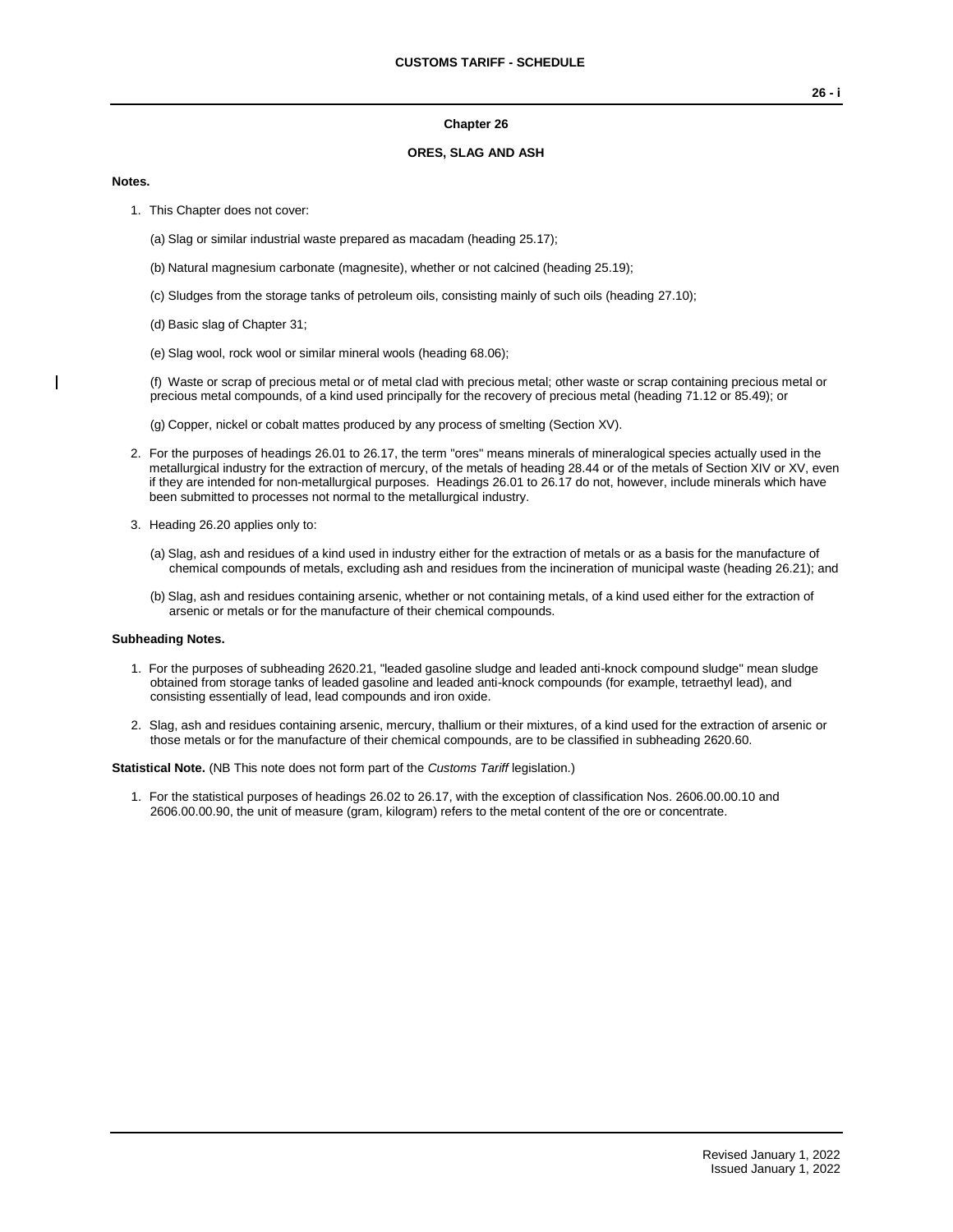#### **Chapter 26**

### **ORES, SLAG AND ASH**

#### **Notes.**

- 1. This Chapter does not cover:
	- (a) Slag or similar industrial waste prepared as macadam (heading 25.17);
	- (b) Natural magnesium carbonate (magnesite), whether or not calcined (heading 25.19);
	- (c) Sludges from the storage tanks of petroleum oils, consisting mainly of such oils (heading 27.10);
	- (d) Basic slag of Chapter 31;
	- (e) Slag wool, rock wool or similar mineral wools (heading 68.06);

(f) Waste or scrap of precious metal or of metal clad with precious metal; other waste or scrap containing precious metal or precious metal compounds, of a kind used principally for the recovery of precious metal (heading 71.12 or 85.49); or

(g) Copper, nickel or cobalt mattes produced by any process of smelting (Section XV).

- 2. For the purposes of headings 26.01 to 26.17, the term "ores" means minerals of mineralogical species actually used in the metallurgical industry for the extraction of mercury, of the metals of heading 28.44 or of the metals of Section XIV or XV, even if they are intended for non-metallurgical purposes. Headings 26.01 to 26.17 do not, however, include minerals which have been submitted to processes not normal to the metallurgical industry.
- 3. Heading 26.20 applies only to:
	- (a) Slag, ash and residues of a kind used in industry either for the extraction of metals or as a basis for the manufacture of chemical compounds of metals, excluding ash and residues from the incineration of municipal waste (heading 26.21); and
	- (b) Slag, ash and residues containing arsenic, whether or not containing metals, of a kind used either for the extraction of arsenic or metals or for the manufacture of their chemical compounds.

#### **Subheading Notes.**

- 1. For the purposes of subheading 2620.21, "leaded gasoline sludge and leaded anti-knock compound sludge" mean sludge obtained from storage tanks of leaded gasoline and leaded anti-knock compounds (for example, tetraethyl lead), and consisting essentially of lead, lead compounds and iron oxide.
- 2. Slag, ash and residues containing arsenic, mercury, thallium or their mixtures, of a kind used for the extraction of arsenic or those metals or for the manufacture of their chemical compounds, are to be classified in subheading 2620.60.

**Statistical Note.** (NB This note does not form part of the *Customs Tariff* legislation.)

1. For the statistical purposes of headings 26.02 to 26.17, with the exception of classification Nos. 2606.00.00.10 and 2606.00.00.90, the unit of measure (gram, kilogram) refers to the metal content of the ore or concentrate.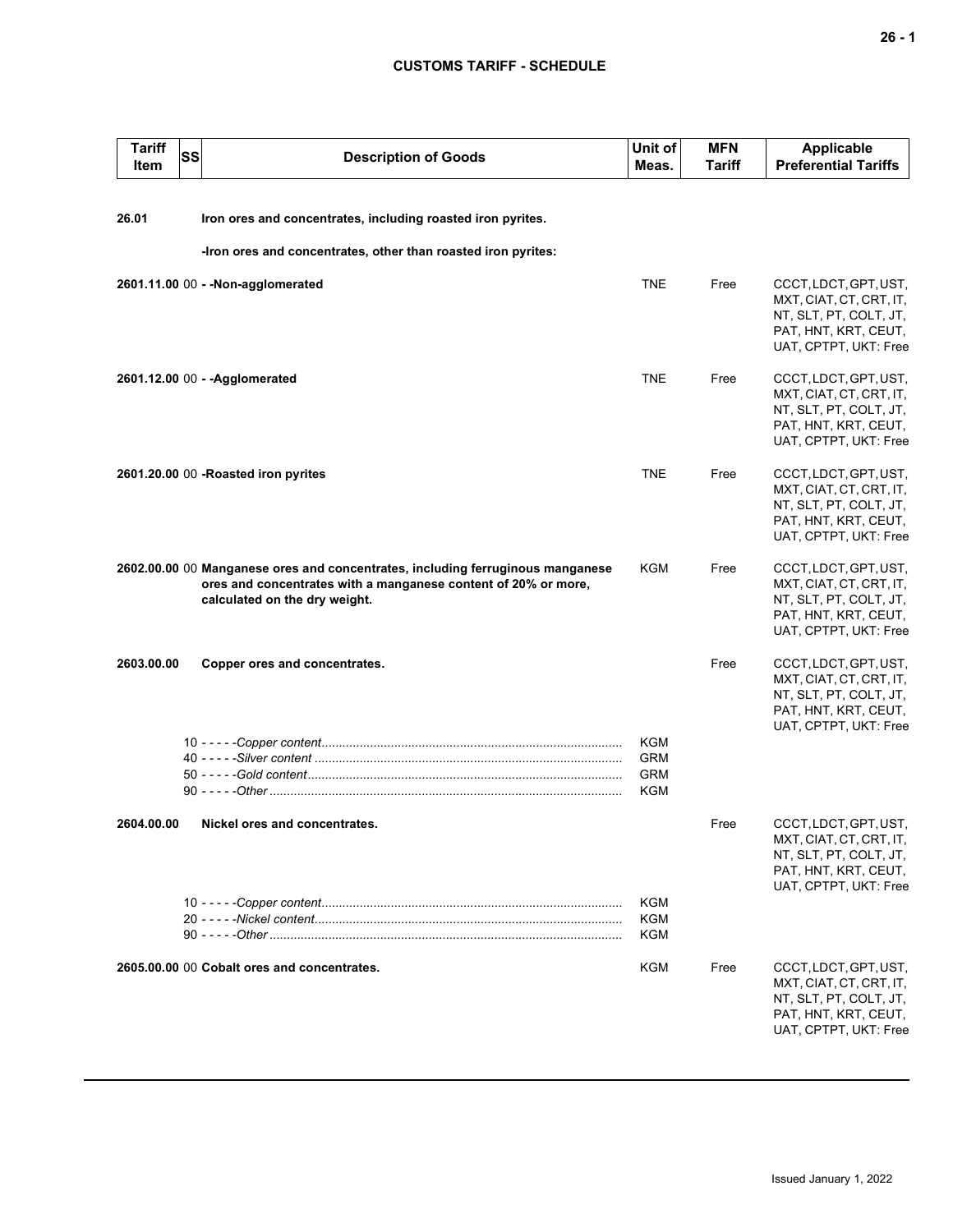## **CUSTOMS TARIFF - SCHEDULE**

| <b>Tariff</b><br>Item | SS | <b>Description of Goods</b>                                                                                                                                                       | Unit of<br>Meas.                       | <b>MFN</b><br>Tariff | <b>Applicable</b><br><b>Preferential Tariffs</b>                                                                            |
|-----------------------|----|-----------------------------------------------------------------------------------------------------------------------------------------------------------------------------------|----------------------------------------|----------------------|-----------------------------------------------------------------------------------------------------------------------------|
| 26.01                 |    | Iron ores and concentrates, including roasted iron pyrites.                                                                                                                       |                                        |                      |                                                                                                                             |
|                       |    | -Iron ores and concentrates, other than roasted iron pyrites:                                                                                                                     |                                        |                      |                                                                                                                             |
|                       |    | 2601.11.00 00 - - Non-agglomerated                                                                                                                                                | <b>TNE</b>                             | Free                 | CCCT, LDCT, GPT, UST,<br>MXT, CIAT, CT, CRT, IT,<br>NT, SLT, PT, COLT, JT,<br>PAT, HNT, KRT, CEUT,<br>UAT, CPTPT, UKT: Free |
|                       |    | 2601.12.00 00 - - Agglomerated                                                                                                                                                    | <b>TNE</b>                             | Free                 | CCCT, LDCT, GPT, UST,<br>MXT, CIAT, CT, CRT, IT,<br>NT, SLT, PT, COLT, JT,<br>PAT, HNT, KRT, CEUT,<br>UAT, CPTPT, UKT: Free |
|                       |    | 2601.20.00 00 -Roasted iron pyrites                                                                                                                                               | <b>TNE</b>                             | Free                 | CCCT, LDCT, GPT, UST,<br>MXT, CIAT, CT, CRT, IT,<br>NT, SLT, PT, COLT, JT,<br>PAT, HNT, KRT, CEUT,<br>UAT, CPTPT, UKT: Free |
|                       |    | 2602.00.00 00 Manganese ores and concentrates, including ferruginous manganese<br>ores and concentrates with a manganese content of 20% or more,<br>calculated on the dry weight. | KGM                                    | Free                 | CCCT, LDCT, GPT, UST,<br>MXT, CIAT, CT, CRT, IT,<br>NT, SLT, PT, COLT, JT,<br>PAT, HNT, KRT, CEUT,<br>UAT, CPTPT, UKT: Free |
| 2603.00.00            |    | Copper ores and concentrates.                                                                                                                                                     |                                        | Free                 | CCCT, LDCT, GPT, UST,<br>MXT, CIAT, CT, CRT, IT,<br>NT, SLT, PT, COLT, JT,<br>PAT, HNT, KRT, CEUT,<br>UAT, CPTPT, UKT: Free |
|                       |    |                                                                                                                                                                                   | KGM<br><b>GRM</b><br><b>GRM</b><br>KGM |                      |                                                                                                                             |
| 2604.00.00            |    | Nickel ores and concentrates.                                                                                                                                                     |                                        | Free                 | CCCT, LDCT, GPT, UST,<br>MXT, CIAT, CT, CRT, IT,<br>NT, SLT, PT, COLT, JT,<br>PAT, HNT, KRT, CEUT,<br>UAT, CPTPT, UKT: Free |
|                       |    |                                                                                                                                                                                   | KGM<br>KGM<br>KGM                      |                      |                                                                                                                             |
|                       |    | 2605.00.00 00 Cobalt ores and concentrates.                                                                                                                                       | <b>KGM</b>                             | Free                 | CCCT, LDCT, GPT, UST,<br>MXT, CIAT, CT, CRT, IT,<br>NT, SLT, PT, COLT, JT,<br>PAT, HNT, KRT, CEUT,<br>UAT, CPTPT, UKT: Free |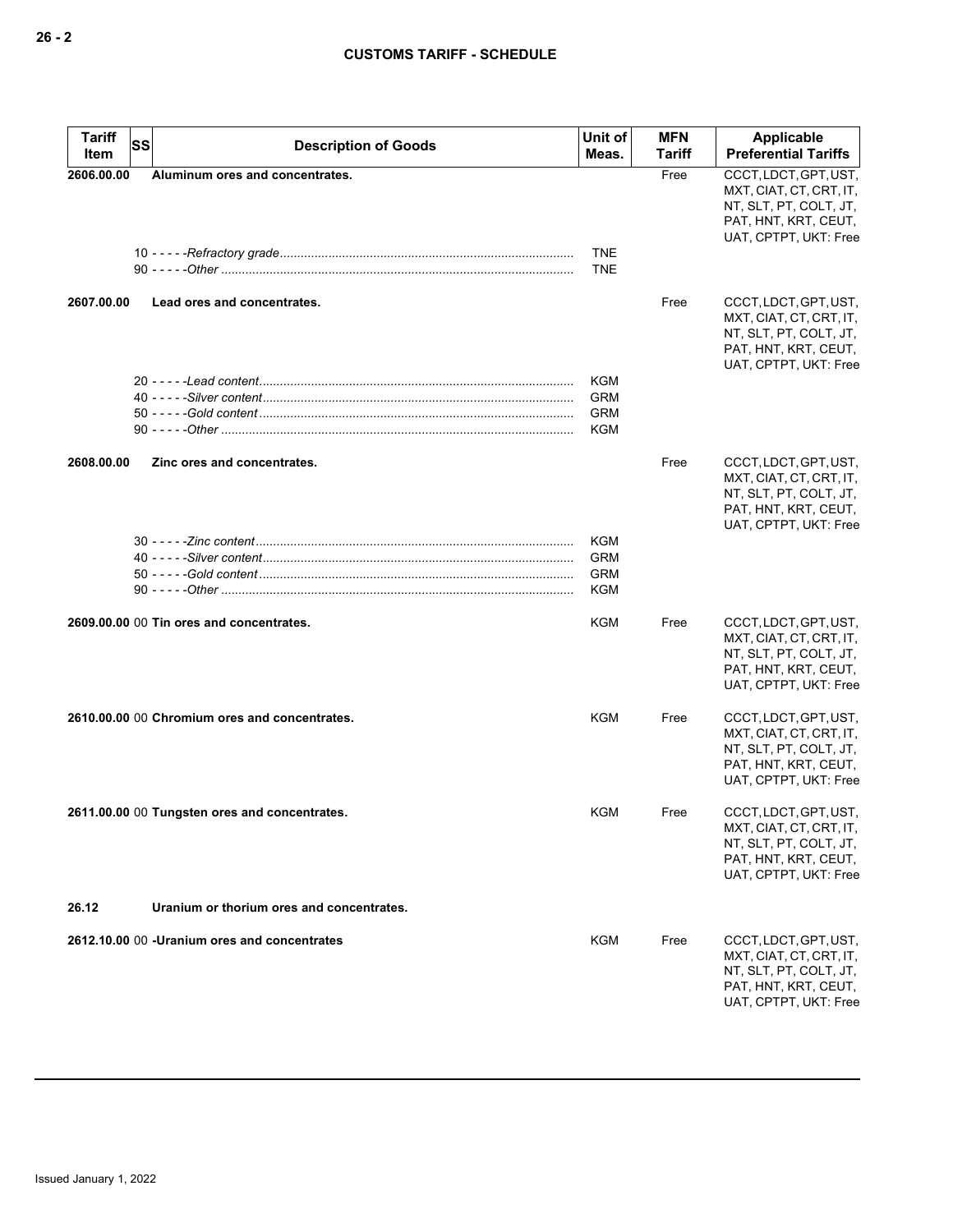| <b>Tariff</b><br>Item | SS<br><b>Description of Goods</b>             | Unit of<br>Meas.         | <b>MFN</b><br>Tariff | Applicable<br><b>Preferential Tariffs</b>                                                                                   |
|-----------------------|-----------------------------------------------|--------------------------|----------------------|-----------------------------------------------------------------------------------------------------------------------------|
| 2606.00.00            | Aluminum ores and concentrates.               |                          | Free                 | CCCT, LDCT, GPT, UST,<br>MXT, CIAT, CT, CRT, IT,<br>NT, SLT, PT, COLT, JT,<br>PAT, HNT, KRT, CEUT,<br>UAT, CPTPT, UKT: Free |
|                       |                                               | <b>TNE</b><br><b>TNE</b> |                      |                                                                                                                             |
| 2607.00.00            | Lead ores and concentrates.                   |                          | Free                 | CCCT, LDCT, GPT, UST,<br>MXT, CIAT, CT, CRT, IT,<br>NT, SLT, PT, COLT, JT,<br>PAT, HNT, KRT, CEUT,<br>UAT, CPTPT, UKT: Free |
|                       |                                               | KGM                      |                      |                                                                                                                             |
|                       |                                               | <b>GRM</b>               |                      |                                                                                                                             |
|                       |                                               | <b>GRM</b>               |                      |                                                                                                                             |
|                       |                                               | KGM                      |                      |                                                                                                                             |
| 2608.00.00            | Zinc ores and concentrates.                   |                          | Free                 | CCCT, LDCT, GPT, UST,<br>MXT, CIAT, CT, CRT, IT,<br>NT, SLT, PT, COLT, JT,<br>PAT, HNT, KRT, CEUT,<br>UAT, CPTPT, UKT: Free |
|                       |                                               | <b>KGM</b>               |                      |                                                                                                                             |
|                       |                                               | <b>GRM</b>               |                      |                                                                                                                             |
|                       |                                               | <b>GRM</b><br>KGM        |                      |                                                                                                                             |
|                       |                                               |                          |                      |                                                                                                                             |
|                       | 2609.00.00 00 Tin ores and concentrates.      | <b>KGM</b>               | Free                 | CCCT, LDCT, GPT, UST,<br>MXT, CIAT, CT, CRT, IT,<br>NT, SLT, PT, COLT, JT,<br>PAT, HNT, KRT, CEUT,<br>UAT, CPTPT, UKT: Free |
|                       | 2610.00.00 00 Chromium ores and concentrates. | <b>KGM</b>               | Free                 | CCCT, LDCT, GPT, UST,<br>MXT, CIAT, CT, CRT, IT,<br>NT, SLT, PT, COLT, JT,<br>PAT, HNT, KRT, CEUT,<br>UAT, CPTPT, UKT: Free |
|                       | 2611.00.00 00 Tungsten ores and concentrates. | <b>KGM</b>               | Free                 | CCCT, LDCT, GPT, UST,<br>MXT, CIAT, CT, CRT, IT,<br>NT, SLT, PT, COLT, JT,<br>PAT, HNT, KRT, CEUT,<br>UAT, CPTPT, UKT: Free |
| 26.12                 | Uranium or thorium ores and concentrates.     |                          |                      |                                                                                                                             |
|                       | 2612.10.00 00 - Uranium ores and concentrates | <b>KGM</b>               | Free                 | CCCT, LDCT, GPT, UST,<br>MXT, CIAT, CT, CRT, IT,<br>NT, SLT, PT, COLT, JT,<br>PAT, HNT, KRT, CEUT,<br>UAT, CPTPT, UKT: Free |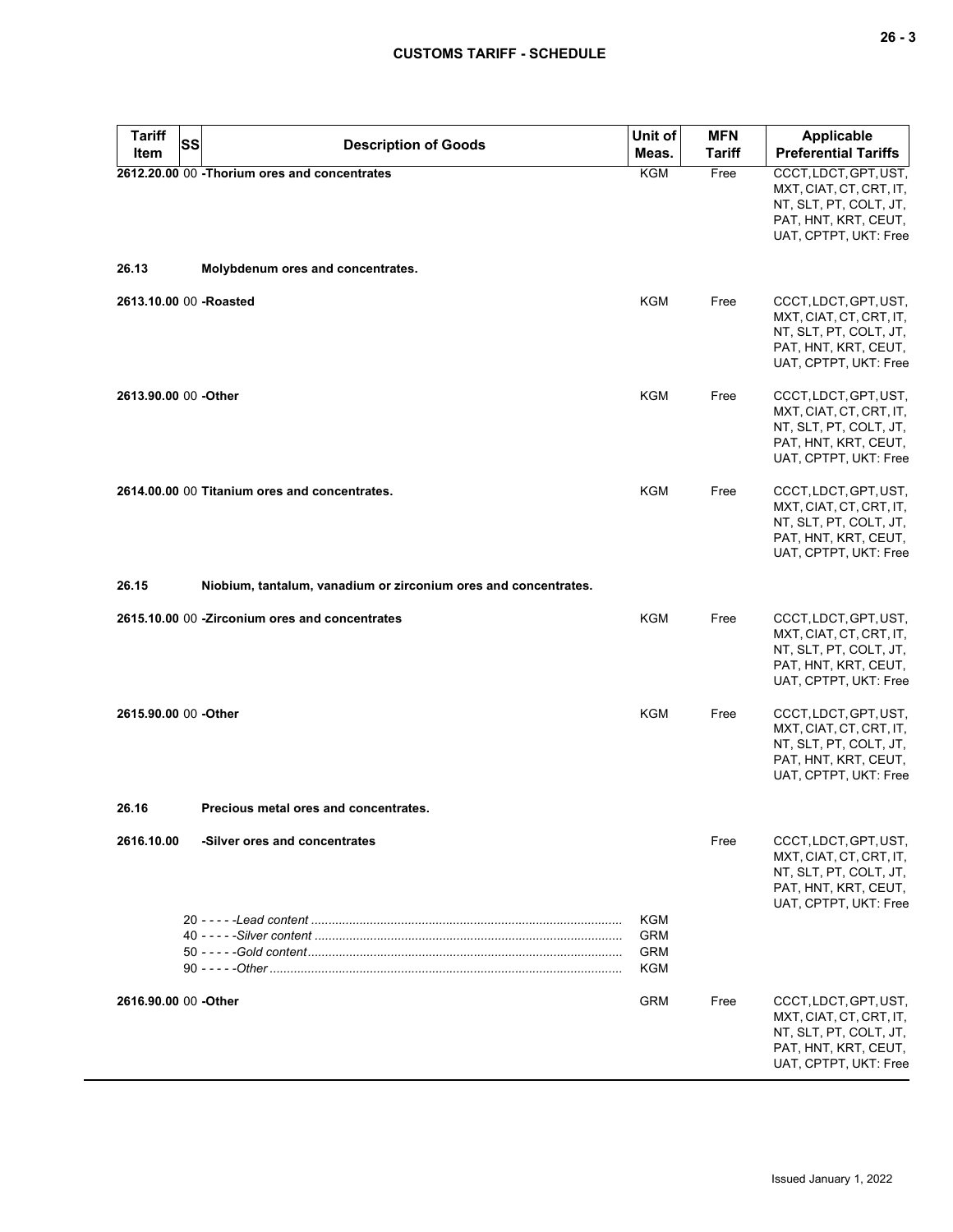**26 - 3**

# **CUSTOMS TARIFF - SCHEDULE**

| <b>Tariff</b><br>SS<br><b>Item</b> | <b>Description of Goods</b>                                     | Unit of<br>Meas.                              | <b>MFN</b><br>Tariff | <b>Applicable</b><br><b>Preferential Tariffs</b>                                                                            |
|------------------------------------|-----------------------------------------------------------------|-----------------------------------------------|----------------------|-----------------------------------------------------------------------------------------------------------------------------|
|                                    | 2612.20.00 00 - Thorium ores and concentrates                   | <b>KGM</b>                                    | Free                 | CCCT, LDCT, GPT, UST,<br>MXT, CIAT, CT, CRT, IT,<br>NT, SLT, PT, COLT, JT,<br>PAT, HNT, KRT, CEUT,<br>UAT, CPTPT, UKT: Free |
| 26.13                              | Molybdenum ores and concentrates.                               |                                               |                      |                                                                                                                             |
| 2613.10.00 00 -Roasted             |                                                                 | <b>KGM</b>                                    | Free                 | CCCT, LDCT, GPT, UST,<br>MXT, CIAT, CT, CRT, IT,<br>NT, SLT, PT, COLT, JT,<br>PAT, HNT, KRT, CEUT,<br>UAT, CPTPT, UKT: Free |
| 2613.90.00 00 - Other              |                                                                 | <b>KGM</b>                                    | Free                 | CCCT, LDCT, GPT, UST,<br>MXT, CIAT, CT, CRT, IT,<br>NT, SLT, PT, COLT, JT,<br>PAT, HNT, KRT, CEUT,<br>UAT, CPTPT, UKT: Free |
|                                    | 2614.00.00 00 Titanium ores and concentrates.                   | KGM                                           | Free                 | CCCT, LDCT, GPT, UST,<br>MXT, CIAT, CT, CRT, IT,<br>NT, SLT, PT, COLT, JT,<br>PAT, HNT, KRT, CEUT,<br>UAT, CPTPT, UKT: Free |
| 26.15                              | Niobium, tantalum, vanadium or zirconium ores and concentrates. |                                               |                      |                                                                                                                             |
|                                    | 2615.10.00 00 -Zirconium ores and concentrates                  | <b>KGM</b>                                    | Free                 | CCCT, LDCT, GPT, UST,<br>MXT, CIAT, CT, CRT, IT,<br>NT, SLT, PT, COLT, JT,<br>PAT, HNT, KRT, CEUT,<br>UAT, CPTPT, UKT: Free |
| 2615.90.00 00 - Other              |                                                                 | <b>KGM</b>                                    | Free                 | CCCT, LDCT, GPT, UST,<br>MXT, CIAT, CT, CRT, IT,<br>NT, SLT, PT, COLT, JT,<br>PAT, HNT, KRT, CEUT,<br>UAT, CPTPT, UKT: Free |
| 26.16                              | Precious metal ores and concentrates.                           |                                               |                      |                                                                                                                             |
| 2616.10.00                         | -Silver ores and concentrates                                   |                                               | Free                 | CCCT, LDCT, GPT, UST,<br>MXT, CIAT, CT, CRT, IT,<br>NT, SLT, PT, COLT, JT,<br>PAT, HNT, KRT, CEUT,<br>UAT, CPTPT, UKT: Free |
|                                    |                                                                 | <b>KGM</b><br><b>GRM</b><br><b>GRM</b><br>KGM |                      |                                                                                                                             |
| 2616.90.00 00 - Other              |                                                                 | <b>GRM</b>                                    | Free                 | CCCT, LDCT, GPT, UST,<br>MXT, CIAT, CT, CRT, IT,<br>NT, SLT, PT, COLT, JT,<br>PAT, HNT, KRT, CEUT,<br>UAT, CPTPT, UKT: Free |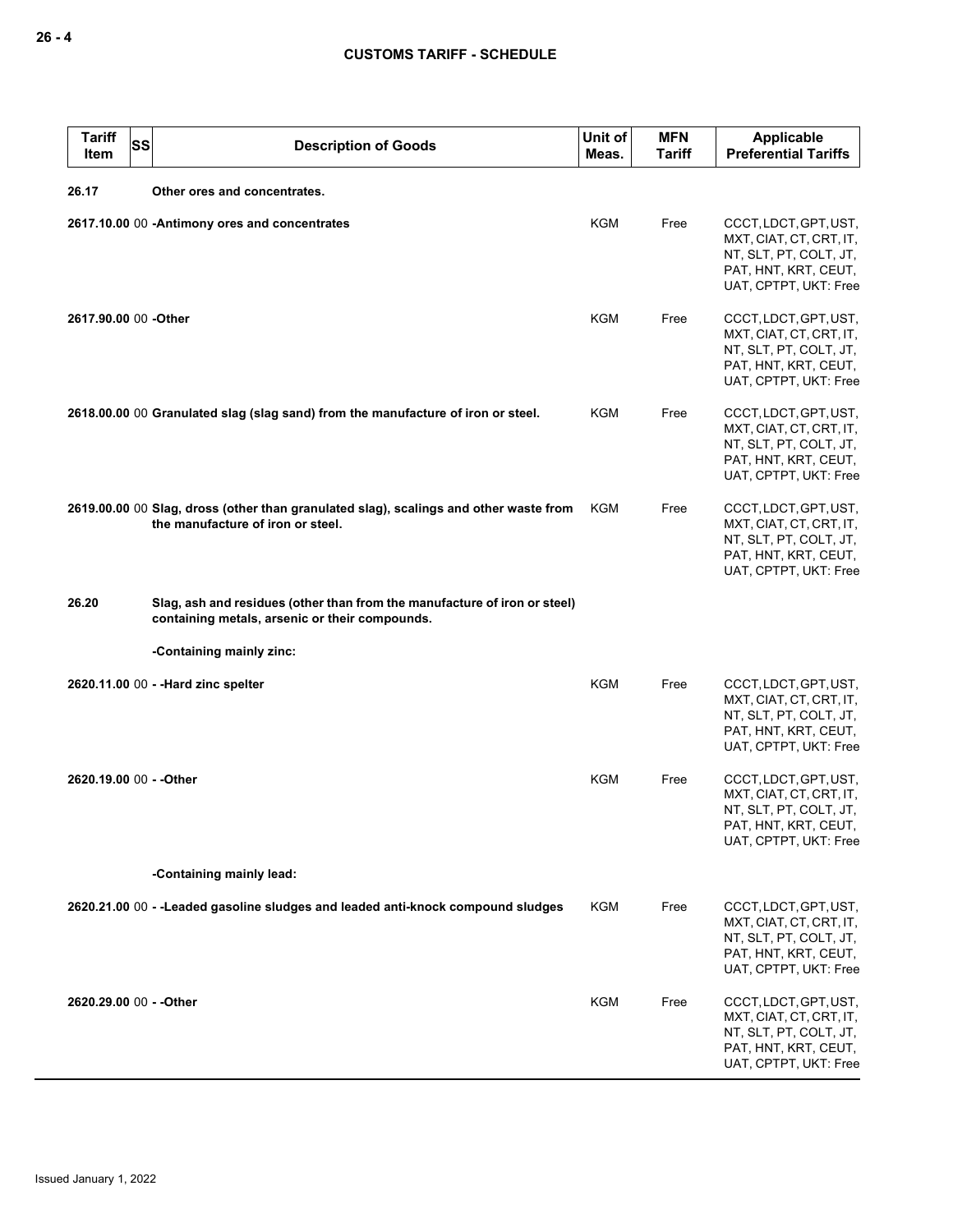| <b>Tariff</b><br>Item                 | SS | <b>Description of Goods</b>                                                                                                 | Unit of<br>Meas. | <b>MFN</b><br>Tariff | <b>Applicable</b><br><b>Preferential Tariffs</b>                                                                            |  |
|---------------------------------------|----|-----------------------------------------------------------------------------------------------------------------------------|------------------|----------------------|-----------------------------------------------------------------------------------------------------------------------------|--|
| 26.17<br>Other ores and concentrates. |    |                                                                                                                             |                  |                      |                                                                                                                             |  |
|                                       |    | 2617.10.00 00 -Antimony ores and concentrates                                                                               | <b>KGM</b>       | Free                 | CCCT, LDCT, GPT, UST,<br>MXT, CIAT, CT, CRT, IT,<br>NT, SLT, PT, COLT, JT,<br>PAT, HNT, KRT, CEUT,<br>UAT, CPTPT, UKT: Free |  |
| 2617.90.00 00 -Other                  |    |                                                                                                                             | <b>KGM</b>       | Free                 | CCCT, LDCT, GPT, UST,<br>MXT, CIAT, CT, CRT, IT,<br>NT, SLT, PT, COLT, JT,<br>PAT, HNT, KRT, CEUT,<br>UAT, CPTPT, UKT: Free |  |
|                                       |    | 2618.00.00 00 Granulated slag (slag sand) from the manufacture of iron or steel.                                            | KGM              | Free                 | CCCT, LDCT, GPT, UST,<br>MXT, CIAT, CT, CRT, IT,<br>NT, SLT, PT, COLT, JT,<br>PAT, HNT, KRT, CEUT,<br>UAT, CPTPT, UKT: Free |  |
|                                       |    | 2619.00.00 00 Slag, dross (other than granulated slag), scalings and other waste from<br>the manufacture of iron or steel.  | KGM              | Free                 | CCCT, LDCT, GPT, UST,<br>MXT, CIAT, CT, CRT, IT,<br>NT, SLT, PT, COLT, JT,<br>PAT, HNT, KRT, CEUT,<br>UAT, CPTPT, UKT: Free |  |
| 26.20                                 |    | Slag, ash and residues (other than from the manufacture of iron or steel)<br>containing metals, arsenic or their compounds. |                  |                      |                                                                                                                             |  |
|                                       |    | -Containing mainly zinc:                                                                                                    |                  |                      |                                                                                                                             |  |
|                                       |    | 2620.11.00 00 - -Hard zinc spelter                                                                                          | <b>KGM</b>       | Free                 | CCCT, LDCT, GPT, UST,<br>MXT, CIAT, CT, CRT, IT,<br>NT, SLT, PT, COLT, JT,<br>PAT, HNT, KRT, CEUT,<br>UAT, CPTPT, UKT: Free |  |
| 2620.19.00 00 - - Other               |    |                                                                                                                             | <b>KGM</b>       | Free                 | CCCT, LDCT, GPT, UST,<br>MXT, CIAT, CT, CRT, IT,<br>NT, SLT, PT, COLT, JT,<br>PAT, HNT, KRT, CEUT,<br>UAT, CPTPT, UKT: Free |  |
| -Containing mainly lead:              |    |                                                                                                                             |                  |                      |                                                                                                                             |  |
|                                       |    | 2620.21.00 00 - -Leaded gasoline sludges and leaded anti-knock compound sludges                                             | KGM              | Free                 | CCCT, LDCT, GPT, UST,<br>MXT, CIAT, CT, CRT, IT,<br>NT, SLT, PT, COLT, JT,<br>PAT, HNT, KRT, CEUT,<br>UAT, CPTPT, UKT: Free |  |
| 2620.29.00 00 - - Other               |    |                                                                                                                             | KGM              | Free                 | CCCT, LDCT, GPT, UST,<br>MXT, CIAT, CT, CRT, IT,<br>NT, SLT, PT, COLT, JT,<br>PAT, HNT, KRT, CEUT,<br>UAT, CPTPT, UKT: Free |  |